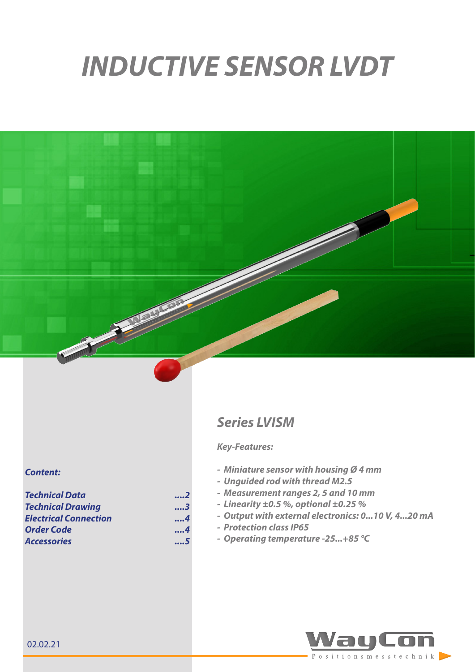# *INDUCTIVE SENSOR LVDT*



#### *Content:*

| <b>Technical Data</b>        | 2   |  |
|------------------------------|-----|--|
| <b>Technical Drawing</b>     | 3   |  |
| <b>Electrical Connection</b> | . 4 |  |
| <b>Order Code</b>            | . 4 |  |
| <b>Accessories</b>           | 5   |  |

# *Series LVISM*

### *Key-Features:*

- *- Miniature sensor with housing Ø 4 mm*
- *- Unguided rod with thread M2.5*
- *- Measurement ranges 2, 5 and 10 mm*
- *- Linearity ±0.5 %, optional ±0.25 %*
- *- Output with external electronics: 0...10 V, 4...20 mA*
- *- Protection class IP65*
- *- Operating temperature -25...+85 °C*

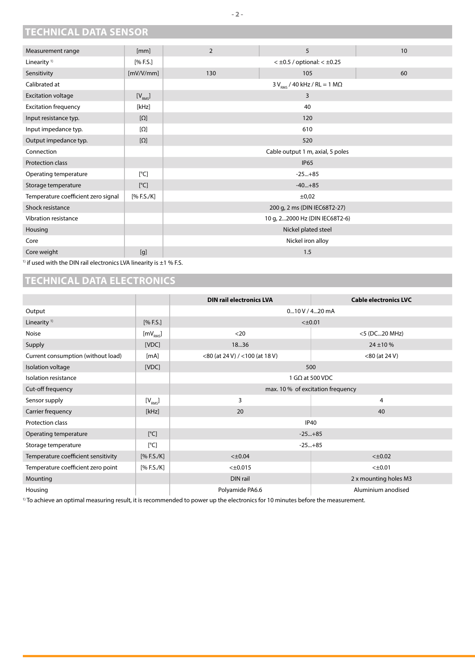# **TECHNICAL DATA SENSOR**

| Measurement range                   | [mm]                                                                                                                                                                                                                                                                                                                                                                                                                                                                                                                                           | $\overline{2}$                           | 5                                        | 10 |
|-------------------------------------|------------------------------------------------------------------------------------------------------------------------------------------------------------------------------------------------------------------------------------------------------------------------------------------------------------------------------------------------------------------------------------------------------------------------------------------------------------------------------------------------------------------------------------------------|------------------------------------------|------------------------------------------|----|
| Linearity <sup>1)</sup>             | [% F.S.]                                                                                                                                                                                                                                                                                                                                                                                                                                                                                                                                       |                                          | $<$ $\pm$ 0.5 / optional: $<$ $\pm$ 0.25 |    |
| Sensitivity                         | [mV/V/mm]                                                                                                                                                                                                                                                                                                                                                                                                                                                                                                                                      | 130                                      | 105                                      | 60 |
| Calibrated at                       |                                                                                                                                                                                                                                                                                                                                                                                                                                                                                                                                                | $3 V_{RMS}$ / 40 kHz / RL = 1 M $\Omega$ |                                          |    |
| <b>Excitation voltage</b>           | $[V_{RMS}]$                                                                                                                                                                                                                                                                                                                                                                                                                                                                                                                                    | 3                                        |                                          |    |
| <b>Excitation frequency</b>         | [kHz]                                                                                                                                                                                                                                                                                                                                                                                                                                                                                                                                          | 40                                       |                                          |    |
| Input resistance typ.               | $[\Omega]$                                                                                                                                                                                                                                                                                                                                                                                                                                                                                                                                     | 120                                      |                                          |    |
| Input impedance typ.                | $[\Omega]$                                                                                                                                                                                                                                                                                                                                                                                                                                                                                                                                     | 610                                      |                                          |    |
| Output impedance typ.               | $[\Omega]$                                                                                                                                                                                                                                                                                                                                                                                                                                                                                                                                     | 520                                      |                                          |    |
| Connection                          |                                                                                                                                                                                                                                                                                                                                                                                                                                                                                                                                                | Cable output 1 m, axial, 5 poles         |                                          |    |
| Protection class                    |                                                                                                                                                                                                                                                                                                                                                                                                                                                                                                                                                |                                          | <b>IP65</b>                              |    |
| Operating temperature               | [°C]                                                                                                                                                                                                                                                                                                                                                                                                                                                                                                                                           | $-25+85$                                 |                                          |    |
| Storage temperature                 | [°C]                                                                                                                                                                                                                                                                                                                                                                                                                                                                                                                                           | $-40+85$                                 |                                          |    |
| Temperature coefficient zero signal | [% F.S./K]                                                                                                                                                                                                                                                                                                                                                                                                                                                                                                                                     | ±0,02                                    |                                          |    |
| Shock resistance                    |                                                                                                                                                                                                                                                                                                                                                                                                                                                                                                                                                | 200 g, 2 ms (DIN IEC68T2-27)             |                                          |    |
| Vibration resistance                |                                                                                                                                                                                                                                                                                                                                                                                                                                                                                                                                                | 10 g, 22000 Hz (DIN IEC68T2-6)           |                                          |    |
| Housing                             |                                                                                                                                                                                                                                                                                                                                                                                                                                                                                                                                                | Nickel plated steel                      |                                          |    |
| Core                                |                                                                                                                                                                                                                                                                                                                                                                                                                                                                                                                                                | Nickel iron alloy                        |                                          |    |
| Core weight                         | $[g]% \centering \includegraphics[width=0.47\textwidth]{images/Traj_2.pdf} \caption{The figure shows the number of parameters of the estimators in the left and right. The left and right is the number of parameters in the right.} \label{Traj_2}{\textbf{a}}% \label{Traj_2}{\textbf{b}}% \label{Traj_2}{\textbf{b}}% \label{Traj_2}{\textbf{b}}% \label{Traj_2}{\textbf{b}}% \label{Traj_2}{\textbf{b}}% \label{Traj_2}{\textbf{b}}% \label{Traj_2}{\textbf{b}}% \label{Traj_2}{\textbf{b}}% \label{Traj_2}{\textbf{b}}% \label{Traj_2}{\$ | 1.5                                      |                                          |    |

 $1)$  if used with the DIN rail electronics LVA linearity is  $\pm 1$  % F.S.

## **TECHNICAL DATA ELECTRONICS**

|                                     |                      | <b>DIN rail electronics LVA</b>   | <b>Cable electronics LVC</b> |
|-------------------------------------|----------------------|-----------------------------------|------------------------------|
| Output                              |                      | 0m10V/4m20mA                      |                              |
| Linearity <sup>1)</sup>             | [% F.S.]             | $< \pm 0.01$                      |                              |
| Noise                               | [mV <sub>RMS</sub> ] | $<$ 20                            | <5 (DC20 MHz)                |
| Supply                              | [VDC]                | 1836                              | $24 \pm 10 \%$               |
| Current consumption (without load)  | [mA]                 | <80 (at 24 V) / <100 (at 18 V)    | $<$ 80 (at 24 V)             |
| Isolation voltage                   | [VDC]                | 500                               |                              |
| Isolation resistance                |                      | 1 G $\Omega$ at 500 VDC           |                              |
| Cut-off frequency                   |                      | max. 10 % of excitation frequency |                              |
| Sensor supply                       | $[V_{RMS}]$          | 3                                 | 4                            |
| Carrier frequency                   | [kHz]                | 20                                | 40                           |
| Protection class                    |                      | <b>IP40</b>                       |                              |
| Operating temperature               | [°C]                 | $-25+85$                          |                              |
| Storage temperature                 | [°C]                 | $-25+85$                          |                              |
| Temperature coefficient sensitivity | [% F.S./K]           | $<\pm 0.04$                       | $< \pm 0.02$                 |
| Temperature coefficient zero point  | [% F.S./K]           | $< \pm 0.015$                     | $< \pm 0.01$                 |
| Mounting                            |                      | DIN rail                          | 2 x mounting holes M3        |
| Housing                             |                      | Polyamide PA6.6                   | Aluminium anodised           |

<sup>1)</sup> To achieve an optimal measuring result, it is recommended to power up the electronics for 10 minutes before the measurement.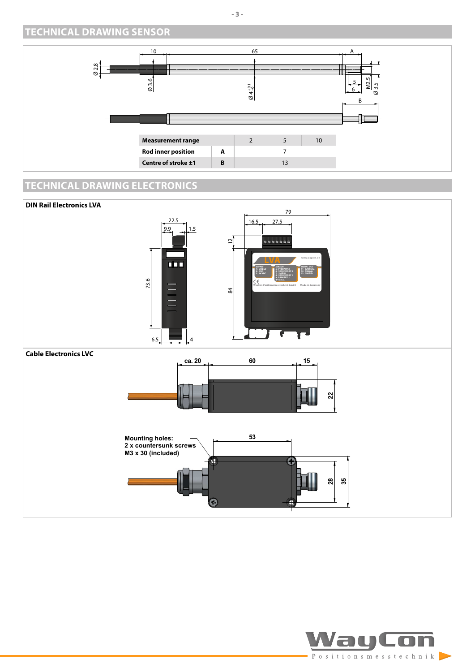## **TECHNICAL DRAWING SENSOR**



## **TECHNICAL DRAWING ELECTRONICS**



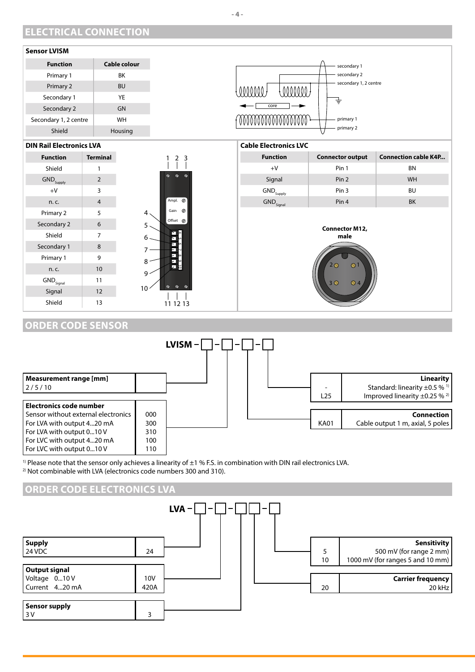## **ELECTRICAL CONNECTION**



#### **ORDER CODE SENSOR**



<sup>1)</sup> Please note that the sensor only achieves a linearity of  $\pm 1$  % F.S. in combination with DIN rail electronics LVA.  $2)$  Not combinable with LVA (electronics code numbers 300 and 310).



**- 4 -**